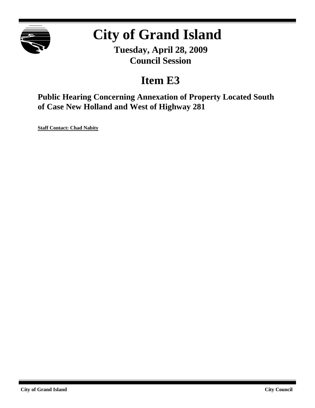

# **City of Grand Island**

**Tuesday, April 28, 2009 Council Session**

## **Item E3**

**Public Hearing Concerning Annexation of Property Located South of Case New Holland and West of Highway 281**

**Staff Contact: Chad Nabity**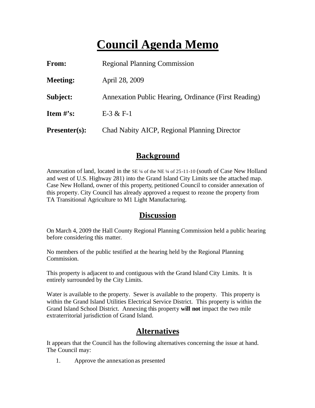# **Council Agenda Memo**

| From:                | <b>Regional Planning Commission</b>                  |
|----------------------|------------------------------------------------------|
| <b>Meeting:</b>      | April 28, 2009                                       |
| Subject:             | Annexation Public Hearing, Ordinance (First Reading) |
| Item $\#$ 's:        | $E-3 & E-1$                                          |
| <b>Presenter(s):</b> | Chad Nabity AICP, Regional Planning Director         |

#### **Background**

Annexation of land, located in the SE ¼ of the NE ¼ of 25-11-10 (south of Case New Holland and west of U.S. Highway 281) into the Grand Island City Limits see the attached map. Case New Holland, owner of this property, petitioned Council to consider annexation of this property. City Council has already approved a request to rezone the property from TA Transitional Agriculture to M1 Light Manufacturing.

#### **Discussion**

On March 4, 2009 the Hall County Regional Planning Commission held a public hearing before considering this matter.

No members of the public testified at the hearing held by the Regional Planning Commission.

This property is adjacent to and contiguous with the Grand Island City Limits. It is entirely surrounded by the City Limits.

Water is available to the property. Sewer is available to the property. This property is within the Grand Island Utilities Electrical Service District. This property is within the Grand Island School District. Annexing this property **will not** impact the two mile extraterritorial jurisdiction of Grand Island.

### **Alternatives**

It appears that the Council has the following alternatives concerning the issue at hand. The Council may:

1. Approve the annexation as presented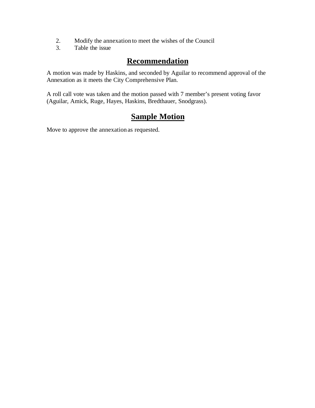- 2. Modify the annexation to meet the wishes of the Council<br>3. Table the issue
- Table the issue

#### **Recommendation**

A motion was made by Haskins, and seconded by Aguilar to recommend approval of the Annexation as it meets the City Comprehensive Plan.

A roll call vote was taken and the motion passed with 7 member's present voting favor (Aguilar, Amick, Ruge, Hayes, Haskins, Bredthauer, Snodgrass).

### **Sample Motion**

Move to approve the annexation as requested.